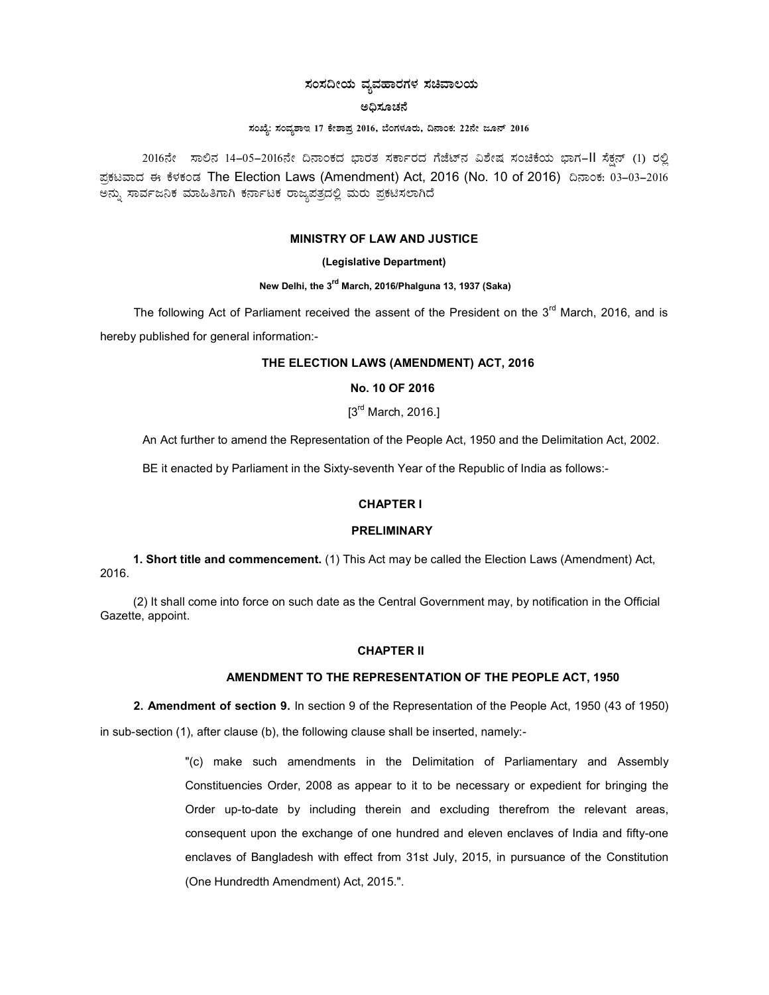## ಸಂಸದೀಯ ವ್ಯವಹಾರಗಳ ಸಚಿವಾಲಯ

#### ಅಧಿಸೂಚನೆ

#### ಸಂಖ್ಯೆ: ಸಂವ್ಯಶಾಇ 17 ಕೇಶಾಪ್ರ 2016, ಬೆಂಗಳೂರು, ದಿನಾಂಕ: 22ನೇ ಜೂನ್ 2016

2016ನೇ ಸಾಲಿನ 14-05-2016ನೇ ದಿನಾಂಕದ ಭಾರತ ಸರ್ಕಾರದ ಗೆಜೆಟ್ನ ವಿಶೇಷ ಸಂಚಿಕೆಯ ಭಾಗ-II ಸೆಕ್ಷನ್ (1) ರಲ್ಲಿ ಪ್ರಕಟವಾದ ಈ ಕೆಳಕಂಡ The Election Laws (Amendment) Act, 2016 (No. 10 of 2016) ದಿನಾಂಕ: 03–03–2016 ಅನ್ನು ಸಾರ್ವಜನಿಕ ಮಾಹಿತಿಗಾಗಿ ಕರ್ನಾಟಕ ರಾಜ್ಯಪತ್ರದಲ್ಲಿ ಮರು ಪ್ರಕಟಿಸಲಾಗಿದೆ

#### MINISTRY OF LAW AND JUSTICE

### (Legislative Department)

# New Delhi, the 3<sup>rd</sup> March, 2016/Phalguna 13, 1937 (Saka)

The following Act of Parliament received the assent of the President on the  $3<sup>rd</sup>$  March, 2016, and is hereby published for general information:-

## THE ELECTION LAWS (AMENDMENT) ACT, 2016

## No. 10 OF 2016

 $[3<sup>rd</sup> March, 2016.]$ 

An Act further to amend the Representation of the People Act, 1950 and the Delimitation Act, 2002.

BE it enacted by Parliament in the Sixty-seventh Year of the Republic of India as follows:-

## CHAPTER I

## **PRELIMINARY**

1. Short title and commencement. (1) This Act may be called the Election Laws (Amendment) Act, 2016.

(2) It shall come into force on such date as the Central Government may, by notification in the Official Gazette, appoint.

### CHAPTER II

## AMENDMENT TO THE REPRESENTATION OF THE PEOPLE ACT, 1950

2. Amendment of section 9. In section 9 of the Representation of the People Act, 1950 (43 of 1950) in sub-section (1), after clause (b), the following clause shall be inserted, namely:-

> "(c) make such amendments in the Delimitation of Parliamentary and Assembly Constituencies Order, 2008 as appear to it to be necessary or expedient for bringing the Order up-to-date by including therein and excluding therefrom the relevant areas, consequent upon the exchange of one hundred and eleven enclaves of India and fifty-one enclaves of Bangladesh with effect from 31st July, 2015, in pursuance of the Constitution (One Hundredth Amendment) Act, 2015.".